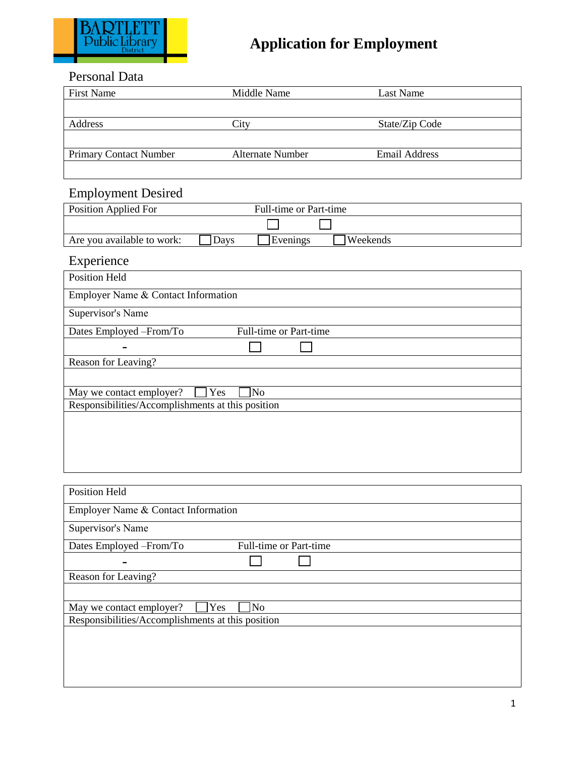

### Personal Data

| <b>First Name</b>             | Middle Name             | Last Name            |  |
|-------------------------------|-------------------------|----------------------|--|
|                               |                         |                      |  |
| Address                       | `itv                    | State/Zip Code       |  |
|                               |                         |                      |  |
| <b>Primary Contact Number</b> | <b>Alternate Number</b> | <b>Email Address</b> |  |
|                               |                         |                      |  |

### Employment Desired

| Position Applied For       |      | Full-time or Part-time |          |  |
|----------------------------|------|------------------------|----------|--|
|                            |      |                        |          |  |
| Are you available to work: | Davs | Evenings               | Weekends |  |

## Experience

| <b>Position Held</b>                               |  |  |  |  |
|----------------------------------------------------|--|--|--|--|
| Employer Name & Contact Information                |  |  |  |  |
| Supervisor's Name                                  |  |  |  |  |
| Full-time or Part-time<br>Dates Employed - From/To |  |  |  |  |
|                                                    |  |  |  |  |
| Reason for Leaving?                                |  |  |  |  |
|                                                    |  |  |  |  |
| Yes<br>No<br>May we contact employer?              |  |  |  |  |
| Responsibilities/Accomplishments at this position  |  |  |  |  |
|                                                    |  |  |  |  |
|                                                    |  |  |  |  |
|                                                    |  |  |  |  |
|                                                    |  |  |  |  |
|                                                    |  |  |  |  |

| <b>Position Held</b>                              |                        |  |
|---------------------------------------------------|------------------------|--|
| Employer Name & Contact Information               |                        |  |
| Supervisor's Name                                 |                        |  |
| Dates Employed – From/To                          | Full-time or Part-time |  |
|                                                   |                        |  |
| Reason for Leaving?                               |                        |  |
|                                                   |                        |  |
| Yes<br>May we contact employer?                   | N <sub>o</sub>         |  |
| Responsibilities/Accomplishments at this position |                        |  |
|                                                   |                        |  |
|                                                   |                        |  |
|                                                   |                        |  |
|                                                   |                        |  |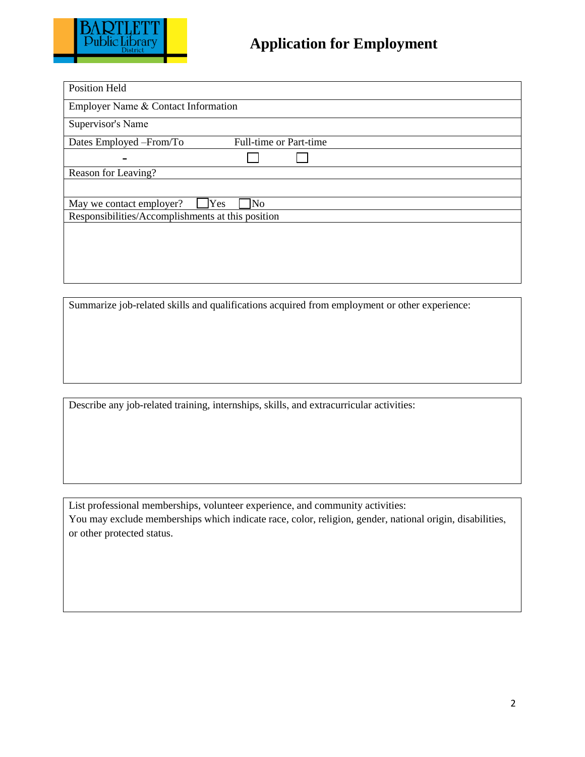

| <b>Position Held</b>                              |     |                        |
|---------------------------------------------------|-----|------------------------|
| Employer Name & Contact Information               |     |                        |
| Supervisor's Name                                 |     |                        |
| Dates Employed - From/To                          |     | Full-time or Part-time |
|                                                   |     |                        |
| Reason for Leaving?                               |     |                        |
|                                                   |     |                        |
| Yes<br>May we contact employer?                   | No. |                        |
| Responsibilities/Accomplishments at this position |     |                        |
|                                                   |     |                        |
|                                                   |     |                        |
|                                                   |     |                        |
|                                                   |     |                        |

Summarize job-related skills and qualifications acquired from employment or other experience:

Describe any job-related training, internships, skills, and extracurricular activities:

List professional memberships, volunteer experience, and community activities: You may exclude memberships which indicate race, color, religion, gender, national origin, disabilities, or other protected status.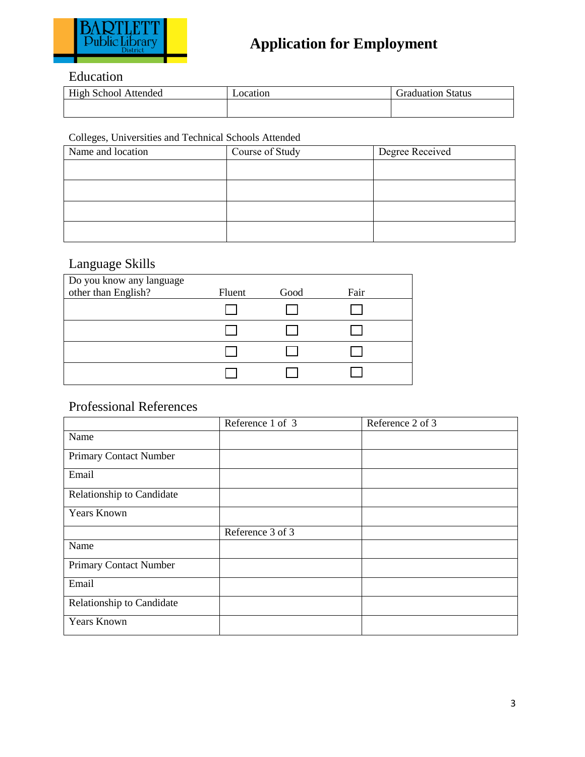

## Education

| High School<br>Attended | ocation_ | Graduation Status |
|-------------------------|----------|-------------------|
|                         |          |                   |

#### Colleges, Universities and Technical Schools Attended

| Name and location | Course of Study | Degree Received |
|-------------------|-----------------|-----------------|
|                   |                 |                 |
|                   |                 |                 |
|                   |                 |                 |
|                   |                 |                 |

### Language Skills

| Do you know any language |        |      |      |  |
|--------------------------|--------|------|------|--|
| other than English?      | Fluent | Good | Fair |  |
|                          |        |      |      |  |
|                          |        |      |      |  |
|                          |        |      |      |  |
|                          |        |      |      |  |

### Professional References

|                           | Reference 1 of 3 | Reference 2 of 3 |
|---------------------------|------------------|------------------|
| Name                      |                  |                  |
| Primary Contact Number    |                  |                  |
| Email                     |                  |                  |
| Relationship to Candidate |                  |                  |
| <b>Years Known</b>        |                  |                  |
|                           | Reference 3 of 3 |                  |
| Name                      |                  |                  |
| Primary Contact Number    |                  |                  |
| Email                     |                  |                  |
| Relationship to Candidate |                  |                  |
| <b>Years Known</b>        |                  |                  |